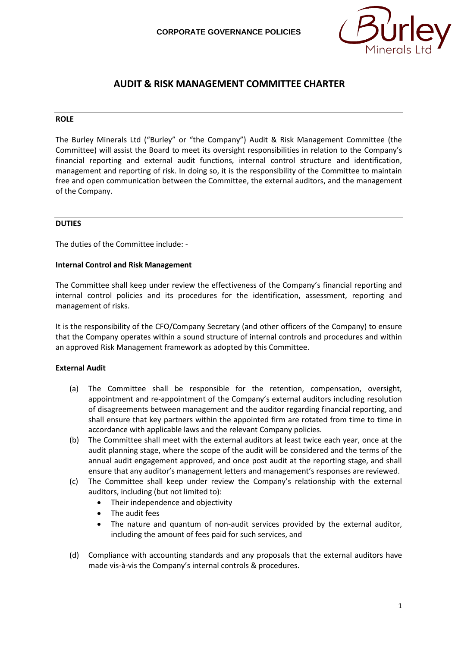

# **AUDIT & RISK MANAGEMENT COMMITTEE CHARTER**

#### **ROLE**

The Burley Minerals Ltd ("Burley" or "the Company") Audit & Risk Management Committee (the Committee) will assist the Board to meet its oversight responsibilities in relation to the Company's financial reporting and external audit functions, internal control structure and identification, management and reporting of risk. In doing so, it is the responsibility of the Committee to maintain free and open communication between the Committee, the external auditors, and the management of the Company.

#### **DUTIES**

The duties of the Committee include: -

#### **Internal Control and Risk Management**

The Committee shall keep under review the effectiveness of the Company's financial reporting and internal control policies and its procedures for the identification, assessment, reporting and management of risks.

It is the responsibility of the CFO/Company Secretary (and other officers of the Company) to ensure that the Company operates within a sound structure of internal controls and procedures and within an approved Risk Management framework as adopted by this Committee.

## **External Audit**

- (a) The Committee shall be responsible for the retention, compensation, oversight, appointment and re-appointment of the Company's external auditors including resolution of disagreements between management and the auditor regarding financial reporting, and shall ensure that key partners within the appointed firm are rotated from time to time in accordance with applicable laws and the relevant Company policies.
- (b) The Committee shall meet with the external auditors at least twice each year, once at the audit planning stage, where the scope of the audit will be considered and the terms of the annual audit engagement approved, and once post audit at the reporting stage, and shall ensure that any auditor's management letters and management's responses are reviewed.
- (c) The Committee shall keep under review the Company's relationship with the external auditors, including (but not limited to):
	- Their independence and objectivity
	- The audit fees
	- The nature and quantum of non-audit services provided by the external auditor, including the amount of fees paid for such services, and
- (d) Compliance with accounting standards and any proposals that the external auditors have made vis-à-vis the Company's internal controls & procedures.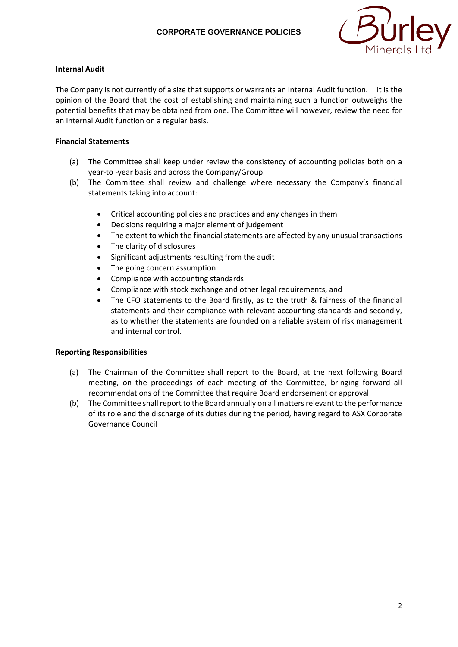

# **Internal Audit**

The Company is not currently of a size that supports or warrants an Internal Audit function. It is the opinion of the Board that the cost of establishing and maintaining such a function outweighs the potential benefits that may be obtained from one. The Committee will however, review the need for an Internal Audit function on a regular basis.

# **Financial Statements**

- (a) The Committee shall keep under review the consistency of accounting policies both on a year-to -year basis and across the Company/Group.
- (b) The Committee shall review and challenge where necessary the Company's financial statements taking into account:
	- Critical accounting policies and practices and any changes in them
	- Decisions requiring a major element of judgement
	- The extent to which the financial statements are affected by any unusual transactions
	- The clarity of disclosures
	- Significant adjustments resulting from the audit
	- The going concern assumption
	- Compliance with accounting standards
	- Compliance with stock exchange and other legal requirements, and
	- The CFO statements to the Board firstly, as to the truth & fairness of the financial statements and their compliance with relevant accounting standards and secondly, as to whether the statements are founded on a reliable system of risk management and internal control.

## **Reporting Responsibilities**

- (a) The Chairman of the Committee shall report to the Board, at the next following Board meeting, on the proceedings of each meeting of the Committee, bringing forward all recommendations of the Committee that require Board endorsement or approval.
- (b) The Committee shall report to the Board annually on all matters relevant to the performance of its role and the discharge of its duties during the period, having regard to ASX Corporate Governance Council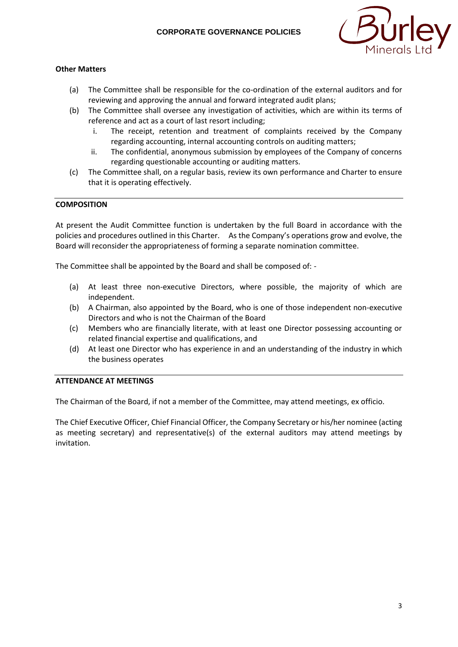

# **Other Matters**

- (a) The Committee shall be responsible for the co-ordination of the external auditors and for reviewing and approving the annual and forward integrated audit plans;
- (b) The Committee shall oversee any investigation of activities, which are within its terms of reference and act as a court of last resort including;
	- i. The receipt, retention and treatment of complaints received by the Company regarding accounting, internal accounting controls on auditing matters;
	- ii. The confidential, anonymous submission by employees of the Company of concerns regarding questionable accounting or auditing matters.
- (c) The Committee shall, on a regular basis, review its own performance and Charter to ensure that it is operating effectively.

## **COMPOSITION**

At present the Audit Committee function is undertaken by the full Board in accordance with the policies and procedures outlined in this Charter. As the Company's operations grow and evolve, the Board will reconsider the appropriateness of forming a separate nomination committee.

The Committee shall be appointed by the Board and shall be composed of: -

- (a) At least three non-executive Directors, where possible, the majority of which are independent.
- (b) A Chairman, also appointed by the Board, who is one of those independent non-executive Directors and who is not the Chairman of the Board
- (c) Members who are financially literate, with at least one Director possessing accounting or related financial expertise and qualifications, and
- (d) At least one Director who has experience in and an understanding of the industry in which the business operates

## **ATTENDANCE AT MEETINGS**

The Chairman of the Board, if not a member of the Committee, may attend meetings, ex officio.

The Chief Executive Officer, Chief Financial Officer, the Company Secretary or his/her nominee (acting as meeting secretary) and representative(s) of the external auditors may attend meetings by invitation.